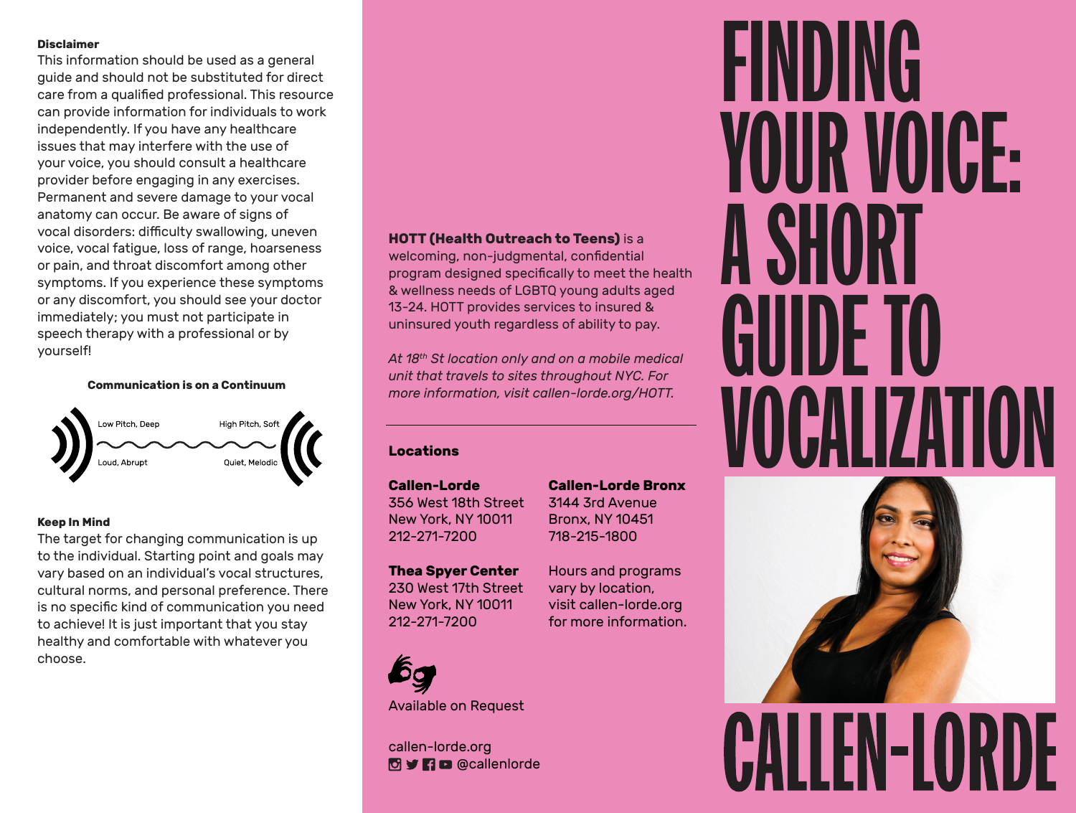#### **Disclaimer**

This information should be used as a general guide and should not be substituted for direct care from a qualified professional. This resource can provide information for individuals to work independently. If you have any healthcare issues that may interfere with the use of your voice, you should consult a healthcare provider before engaging in any exercises. Permanent and severe damage to your vocal anatomy can occur. Be aware of signs of vocal disorders: difficulty swallowing, uneven voice, vocal fatigue, loss of range, hoarseness or pain, and throat discomfort among other symptoms. If you experience these symptoms or any discomfort, you should see your doctor immediately; you must not participate in speech therapy with a professional or by yourself!

**Communication is on a Continuum**



#### **Keep In Mind**

The target for changing communication is up to the individual. Starting point and goals may vary based on an individual's vocal structures, cultural norms, and personal preference. There is no specific kind of communication you need to achieve! It is just important that you stay healthy and comfortable with whatever you choose.

## **HOTT (Health Outreach to Teens)** is a

welcoming, non-judgmental, confidential program designed specifically to meet the health & wellness needs of LGBTQ young adults aged 13-24. HOTT provides services to insured & uninsured youth regardless of ability to pay.

*At 18th St location only and on a mobile medical unit that travels to sites throughout NYC. For more information, visit callen-lorde.org/HOTT.*

## **Locations**

**Callen-Lorde** 356 West 18th Street New York, NY 10011 212-271-7200

**Callen-Lorde Bronx** 3144 3rd Avenue Bronx, NY 10451 718-215-1800

Hours and programs vary by location, visit callen-lorde.org for more information.

**Thea Spyer Center** 230 West 17th Street New York, NY 10011 212-271-7200



Available on Request

callen-lorde.org **O** y **n** c @callenlorde

# FINDING YOUR VOICE: **A SHO** GUIDE TO VOCALIZATION